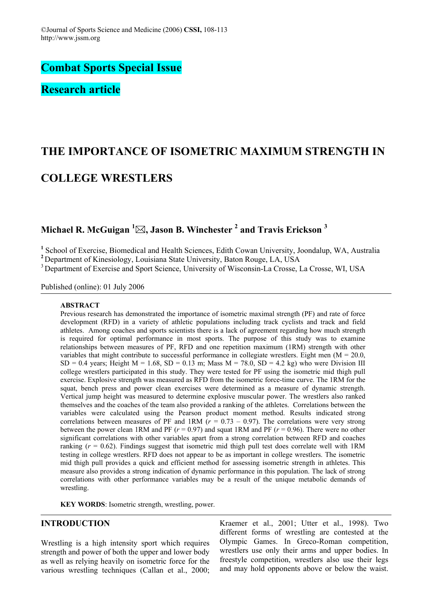**Combat Sports Special Issue** 

**Research article** 

# **THE IMPORTANCE OF ISOMETRIC MAXIMUM STRENGTH IN COLLEGE WRESTLERS**

# **Michael R. McGuigan 1 , Jason B. Winchester 2 and Travis Erickson 3**

<sup>1</sup> School of Exercise, Biomedical and Health Sciences, Edith Cowan University, Joondalup, WA, Australia

**<sup>2</sup>** Department of Kinesiology, Louisiana State University, Baton Rouge, LA, USA

<sup>3</sup> Department of Exercise and Sport Science, University of Wisconsin-La Crosse, La Crosse, WI, USA

Published (online): 01 July 2006

#### **ABSTRACT**

Previous research has demonstrated the importance of isometric maximal strength (PF) and rate of force development (RFD) in a variety of athletic populations including track cyclists and track and field athletes. Among coaches and sports scientists there is a lack of agreement regarding how much strength is required for optimal performance in most sports. The purpose of this study was to examine relationships between measures of PF, RFD and one repetition maximum (1RM) strength with other variables that might contribute to successful performance in collegiate wrestlers. Eight men  $(M = 20.0$ ,  $SD = 0.4$  years; Height M = 1.68, SD = 0.13 m; Mass M = 78.0, SD = 4.2 kg) who were Division III college wrestlers participated in this study. They were tested for PF using the isometric mid thigh pull exercise. Explosive strength was measured as RFD from the isometric force-time curve. The 1RM for the squat, bench press and power clean exercises were determined as a measure of dynamic strength. Vertical jump height was measured to determine explosive muscular power. The wrestlers also ranked themselves and the coaches of the team also provided a ranking of the athletes. Correlations between the variables were calculated using the Pearson product moment method. Results indicated strong correlations between measures of PF and 1RM  $(r = 0.73 - 0.97)$ . The correlations were very strong between the power clean 1RM and PF (*r* = 0.97) and squat 1RM and PF (*r* = 0.96). There were no other significant correlations with other variables apart from a strong correlation between RFD and coaches ranking  $(r = 0.62)$ . Findings suggest that isometric mid thigh pull test does correlate well with 1RM testing in college wrestlers. RFD does not appear to be as important in college wrestlers. The isometric mid thigh pull provides a quick and efficient method for assessing isometric strength in athletes. This measure also provides a strong indication of dynamic performance in this population. The lack of strong correlations with other performance variables may be a result of the unique metabolic demands of wrestling.

**KEY WORDS:** Isometric strength, wrestling, power.

# **INTRODUCTION**

Wrestling is a high intensity sport which requires strength and power of both the upper and lower body as well as relying heavily on isometric force for the various wrestling techniques (Callan et al., 2000; Kraemer et al., 2001; Utter et al., 1998). Two different forms of wrestling are contested at the Olympic Games. In Greco-Roman competition, wrestlers use only their arms and upper bodies. In freestyle competition, wrestlers also use their legs and may hold opponents above or below the waist.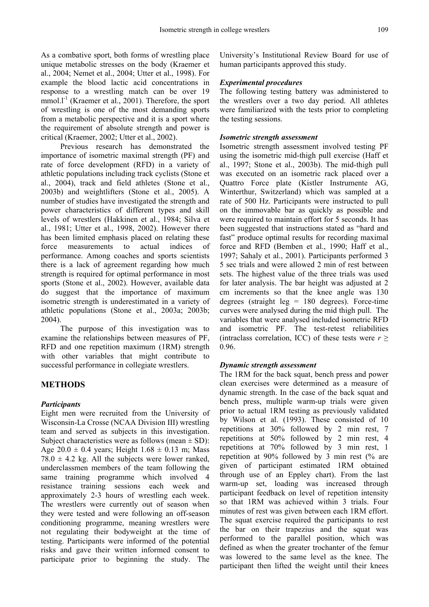As a combative sport, both forms of wrestling place unique metabolic stresses on the body (Kraemer et al., 2004; Nemet et al., 2004; Utter et al., 1998). For example the blood lactic acid concentrations in response to a wrestling match can be over 19 mmol. $l^{-1}$  (Kraemer et al., 2001). Therefore, the sport of wrestling is one of the most demanding sports from a metabolic perspective and it is a sport where the requirement of absolute strength and power is critical (Kraemer, 2002; Utter et al., 2002).

Previous research has demonstrated the importance of isometric maximal strength (PF) and rate of force development (RFD) in a variety of athletic populations including track cyclists (Stone et al., 2004), track and field athletes (Stone et al., 2003b) and weightlifters (Stone et al., 2005). A number of studies have investigated the strength and power characteristics of different types and skill levels of wrestlers (Hakkinen et al., 1984; Silva et al., 1981; Utter et al., 1998, 2002). However there has been limited emphasis placed on relating these force measurements to actual indices of performance. Among coaches and sports scientists there is a lack of agreement regarding how much strength is required for optimal performance in most sports (Stone et al., 2002). However, available data do suggest that the importance of maximum isometric strength is underestimated in a variety of athletic populations (Stone et al., 2003a; 2003b; 2004).

The purpose of this investigation was to examine the relationships between measures of PF, RFD and one repetition maximum (1RM) strength with other variables that might contribute to successful performance in collegiate wrestlers.

# **METHODS**

#### *Participants*

Eight men were recruited from the University of Wisconsin-La Crosse (NCAA Division III) wrestling team and served as subjects in this investigation. Subject characteristics were as follows (mean  $\pm$  SD): Age  $20.0 \pm 0.4$  years; Height  $1.68 \pm 0.13$  m; Mass  $78.0 \pm 4.2$  kg. All the subjects were lower ranked, underclassmen members of the team following the same training programme which involved 4 resistance training sessions each week and approximately 2-3 hours of wrestling each week. The wrestlers were currently out of season when they were tested and were following an off-season conditioning programme, meaning wrestlers were not regulating their bodyweight at the time of testing. Participants were informed of the potential risks and gave their written informed consent to participate prior to beginning the study. The

University's Institutional Review Board for use of human participants approved this study.

#### *Experimental procedures*

The following testing battery was administered to the wrestlers over a two day period. All athletes were familiarized with the tests prior to completing the testing sessions.

#### *Isometric strength assessment*

Isometric strength assessment involved testing PF using the isometric mid-thigh pull exercise (Haff et al., 1997; Stone et al., 2003b). The mid-thigh pull was executed on an isometric rack placed over a Quattro Force plate (Kistler Instrumente AG, Winterthur, Switzerland) which was sampled at a rate of 500 Hz. Participants were instructed to pull on the immovable bar as quickly as possible and were required to maintain effort for 5 seconds. It has been suggested that instructions stated as "hard and fast" produce optimal results for recording maximal force and RFD (Bemben et al., 1990; Haff et al., 1997; Sahaly et al., 2001). Participants performed 3 5 sec trials and were allowed 2 min of rest between sets. The highest value of the three trials was used for later analysis. The bar height was adjusted at 2 cm increments so that the knee angle was 130 degrees (straight  $leg = 180$  degrees). Force-time curves were analysed during the mid thigh pull. The variables that were analysed included isometric RFD and isometric PF. The test-retest reliabilities (intraclass correlation, ICC) of these tests were  $r \geq$ 0.96.

#### *Dynamic strength assessment*

The 1RM for the back squat, bench press and power clean exercises were determined as a measure of dynamic strength. In the case of the back squat and bench press, multiple warm-up trials were given prior to actual 1RM testing as previously validated by Wilson et al. (1993). These consisted of 10 repetitions at 30% followed by 2 min rest, 7 repetitions at 50% followed by 2 min rest, 4 repetitions at 70% followed by 3 min rest, 1 repetition at 90% followed by 3 min rest (% are given of participant estimated 1RM obtained through use of an Eppley chart). From the last warm-up set, loading was increased through participant feedback on level of repetition intensity so that 1RM was achieved within 3 trials. Four minutes of rest was given between each 1RM effort. The squat exercise required the participants to rest the bar on their trapezius and the squat was performed to the parallel position, which was defined as when the greater trochanter of the femur was lowered to the same level as the knee. The participant then lifted the weight until their knees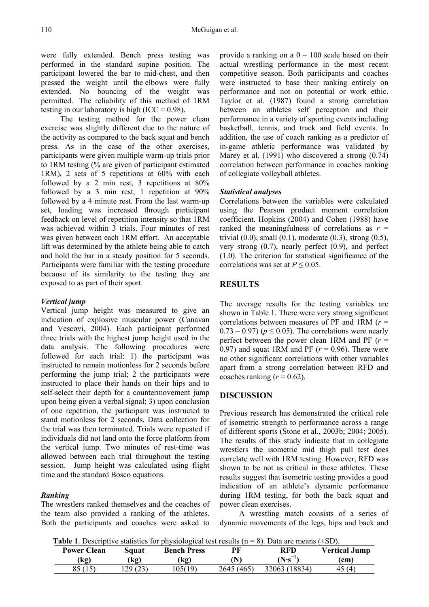were fully extended. Bench press testing was performed in the standard supine position. The participant lowered the bar to mid-chest, and then pressed the weight until the elbows were fully extended. No bouncing of the weight was permitted. The reliability of this method of 1RM testing in our laboratory is high  $(ICC = 0.98)$ .

The testing method for the power clean exercise was slightly different due to the nature of the activity as compared to the back squat and bench press. As in the case of the other exercises, participants were given multiple warm-up trials prior to 1RM testing (% are given of participant estimated 1RM), 2 sets of 5 repetitions at 60% with each followed by a 2 min rest, 3 repetitions at 80% followed by a 3 min rest, 1 repetition at 90% followed by a 4 minute rest. From the last warm-up set, loading was increased through participant feedback on level of repetition intensity so that 1RM was achieved within 3 trials. Four minutes of rest was given between each 1RM effort. An acceptable lift was determined by the athlete being able to catch and hold the bar in a steady position for 5 seconds. Participants were familiar with the testing procedure because of its similarity to the testing they are exposed to as part of their sport.

#### *Vertical jump*

Vertical jump height was measured to give an indication of explosive muscular power (Canavan and Vescovi, 2004). Each participant performed three trials with the highest jump height used in the data analysis. The following procedures were followed for each trial: 1) the participant was instructed to remain motionless for 2 seconds before performing the jump trial; 2 the participants were instructed to place their hands on their hips and to self-select their depth for a countermovement jump upon being given a verbal signal; 3) upon conclusion of one repetition, the participant was instructed to stand motionless for 2 seconds. Data collection for the trial was then terminated. Trials were repeated if individuals did not land onto the force platform from the vertical jump. Two minutes of rest-time was allowed between each trial throughout the testing session. Jump height was calculated using flight time and the standard Bosco equations.

#### *Ranking*

The wrestlers ranked themselves and the coaches of the team also provided a ranking of the athletes. Both the participants and coaches were asked to

provide a ranking on a  $0 - 100$  scale based on their actual wrestling performance in the most recent competitive season. Both participants and coaches were instructed to base their ranking entirely on performance and not on potential or work ethic. Taylor et al. (1987) found a strong correlation between an athletes self perception and their performance in a variety of sporting events including basketball, tennis, and track and field events. In addition, the use of coach ranking as a predictor of in-game athletic performance was validated by Marey et al. (1991) who discovered a strong  $(0.74)$ correlation between performance in coaches ranking of collegiate volleyball athletes.

#### *Statistical analyses*

Correlations between the variables were calculated using the Pearson product moment correlation coefficient. Hopkins (2004) and Cohen (1988) have ranked the meaningfulness of correlations as  $r =$ trivial  $(0.0)$ , small  $(0.1)$ , moderate  $(0.3)$ , strong  $(0.5)$ , very strong (0.7), nearly perfect (0.9), and perfect (1.0). The criterion for statistical significance of the correlations was set at  $P \le 0.05$ .

#### **RESULTS**

The average results for the testing variables are shown in Table 1. There were very strong significant correlations between measures of PF and 1RM (*r* =  $0.73 - 0.97$ ) ( $p \le 0.05$ ). The correlations were nearly perfect between the power clean 1RM and PF  $(r =$ 0.97) and squat 1RM and PF  $(r = 0.96)$ . There were no other significant correlations with other variables apart from a strong correlation between RFD and coaches ranking  $(r = 0.62)$ .

#### **DISCUSSION**

Previous research has demonstrated the critical role of isometric strength to performance across a range of different sports (Stone et al., 2003b; 2004; 2005). The results of this study indicate that in collegiate wrestlers the isometric mid thigh pull test does correlate well with 1RM testing. However, RFD was shown to be not as critical in these athletes. These results suggest that isometric testing provides a good indication of an athlete's dynamic performance during 1RM testing, for both the back squat and power clean exercises.

A wrestling match consists of a series of dynamic movements of the legs, hips and back and

**Table 1**. Descriptive statistics for physiological test results  $(n = 8)$ . Data are means  $(+SD)$ .

| <b>Table 1. Descriptive statistics for physiological test results</b> (if |          |                    |           | $\sigma$ . Data are means $\epsilon$ =0D $\mu$ . |               |
|---------------------------------------------------------------------------|----------|--------------------|-----------|--------------------------------------------------|---------------|
| <b>Power Clean</b>                                                        | Sauat    | <b>Bench Press</b> | РF        | RFD                                              | Vertical Jump |
| (kg)                                                                      | (kg)     | (kg)               |           | $(N\cdot s^{-})$                                 | (cm)          |
| 85 (15)                                                                   | .29 (23) | 105(19)            | 2645(465) | 32063 (18834)                                    | 45 (4)        |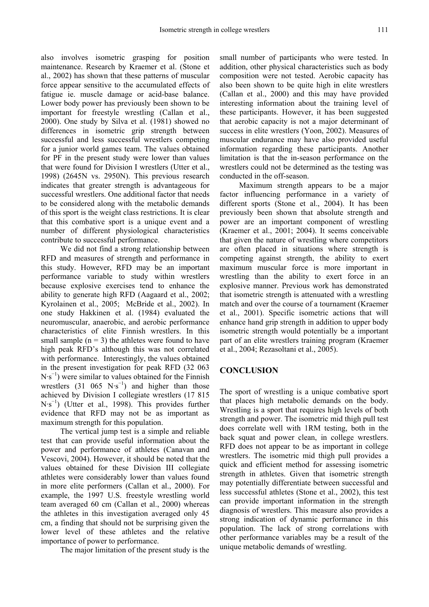also involves isometric grasping for position maintenance. Research by Kraemer et al. (Stone et al., 2002) has shown that these patterns of muscular force appear sensitive to the accumulated effects of fatigue ie. muscle damage or acid-base balance. Lower body power has previously been shown to be important for freestyle wrestling (Callan et al., 2000). One study by Silva et al. (1981) showed no differences in isometric grip strength between successful and less successful wrestlers competing for a junior world games team. The values obtained for PF in the present study were lower than values that were found for Division I wrestlers (Utter et al., 1998) (2645N vs. 2950N). This previous research indicates that greater strength is advantageous for successful wrestlers. One additional factor that needs to be considered along with the metabolic demands of this sport is the weight class restrictions. It is clear that this combative sport is a unique event and a number of different physiological characteristics contribute to successful performance.

We did not find a strong relationship between RFD and measures of strength and performance in this study. However, RFD may be an important performance variable to study within wrestlers because explosive exercises tend to enhance the ability to generate high RFD (Aagaard et al., 2002; Kyrolainen et al., 2005; McBride et al., 2002). In one study Hakkinen et al. (1984) evaluated the neuromuscular, anaerobic, and aerobic performance characteristics of elite Finnish wrestlers. In this small sample  $(n = 3)$  the athletes were found to have high peak RFD's although this was not correlated with performance. Interestingly, the values obtained in the present investigation for peak RFD (32 063 N·s<sup>−</sup><sup>1</sup> ) were similar to values obtained for the Finnish wrestlers  $(31 \t065 \tN·s<sup>-1</sup>)$  and higher than those achieved by Division I collegiate wrestlers (17 815 N·s<sup>−</sup><sup>1</sup> ) (Utter et al., 1998). This provides further evidence that RFD may not be as important as maximum strength for this population.

The vertical jump test is a simple and reliable test that can provide useful information about the power and performance of athletes (Canavan and Vescovi, 2004). However, it should be noted that the values obtained for these Division III collegiate athletes were considerably lower than values found in more elite performers (Callan et al., 2000). For example, the 1997 U.S. freestyle wrestling world team averaged 60 cm (Callan et al., 2000) whereas the athletes in this investigation averaged only 45 cm, a finding that should not be surprising given the lower level of these athletes and the relative importance of power to performance.

The major limitation of the present study is the

small number of participants who were tested. In addition, other physical characteristics such as body composition were not tested. Aerobic capacity has also been shown to be quite high in elite wrestlers (Callan et al., 2000) and this may have provided interesting information about the training level of these participants. However, it has been suggested that aerobic capacity is not a major determinant of success in elite wrestlers (Yoon, 2002). Measures of muscular endurance may have also provided useful information regarding these participants. Another limitation is that the in-season performance on the wrestlers could not be determined as the testing was conducted in the off-season.

Maximum strength appears to be a major factor influencing performance in a variety of different sports (Stone et al., 2004). It has been previously been shown that absolute strength and power are an important component of wrestling (Kraemer et al., 2001; 2004). It seems conceivable that given the nature of wrestling where competitors are often placed in situations where strength is competing against strength, the ability to exert maximum muscular force is more important in wrestling than the ability to exert force in an explosive manner. Previous work has demonstrated that isometric strength is attenuated with a wrestling match and over the course of a tournament (Kraemer et al., 2001). Specific isometric actions that will enhance hand grip strength in addition to upper body isometric strength would potentially be a important part of an elite wrestlers training program (Kraemer et al., 2004; Rezasoltani et al., 2005).

# **CONCLUSION**

The sport of wrestling is a unique combative sport that places high metabolic demands on the body. Wrestling is a sport that requires high levels of both strength and power. The isometric mid thigh pull test does correlate well with 1RM testing, both in the back squat and power clean, in college wrestlers. RFD does not appear to be as important in college wrestlers. The isometric mid thigh pull provides a quick and efficient method for assessing isometric strength in athletes. Given that isometric strength may potentially differentiate between successful and less successful athletes (Stone et al., 2002), this test can provide important information in the strength diagnosis of wrestlers. This measure also provides a strong indication of dynamic performance in this population. The lack of strong correlations with other performance variables may be a result of the unique metabolic demands of wrestling.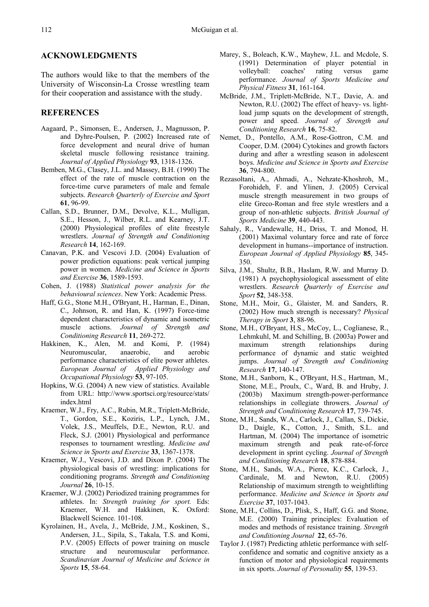#### **ACKNOWLEDGMENTS**

The authors would like to that the members of the University of Wisconsin-La Crosse wrestling team for their cooperation and assistance with the study.

#### **REFERENCES**

- Aagaard, P., Simonsen, E., Andersen, J., Magnusson, P. and Dyhre-Poulsen, P. (2002) Increased rate of force development and neural drive of human skeletal muscle following resistance training. *Journal of Applied Physiology* **93**, 1318-1326.
- Bemben, M.G., Clasey, J.L. and Massey, B.H. (1990) The effect of the rate of muscle contraction on the force-time curve parameters of male and female subjects. *Research Quarterly of Exercise and Sport* **61**, 96-99.
- Callan, S.D., Brunner, D.M., Devolve, K.L., Mulligan, S.E., Hesson, J., Wilber, R.L. and Kearney, J.T. (2000) Physiological profiles of elite freestyle wrestlers. *Journal of Strength and Conditioning Research* **14**, 162-169.
- Canavan, P.K. and Vescovi J.D. (2004) Evaluation of power prediction equations: peak vertical jumping power in women. *Medicine and Science in Sports and Exercise* **36**, 1589-1593.
- Cohen, J. (1988) *Statistical power analysis for the behavioural sciences*. New York: Academic Press.
- Haff, G.G., Stone M.H., O'Bryant, H., Harman, E., Dinan, C., Johnson, R. and Han, K. (1997) Force-time dependent characteristics of dynamic and isometric muscle actions. *Journal of Strength and Conditioning Research* **11**, 269-272.
- Hakkinen, K., Alen, M. and Komi, P. (1984) Neuromuscular, anaerobic, and aerobic performance characteristics of elite power athletes. *European Journal of Applied Physiology and Occupational Physiology* **53**, 97-105.
- Hopkins, W.G. (2004) A new view of statistics. Available from URL: http://www.sportsci.org/resource/stats/ index.html
- Kraemer, W.J., Fry, A.C., Rubin, M.R., Triplett-McBride, T., Gordon, S.E., Koziris, L.P., Lynch, J.M., Volek, J.S., Meuffels, D.E., Newton, R.U. and Fleck, S.J. (2001) Physiological and performance responses to tournament wrestling. *Medicine and Science in Sports and Exercise* **33**, 1367-1378.
- Kraemer, W.J., Vescovi, J.D. and Dixon P. (2004) The physiological basis of wrestling: implications for conditioning programs. *Strength and Conditioning Journal* **26**, 10-15.
- Kraemer, W.J. (2002) Periodized training programmes for athletes. In: *Strength training for sport.* Eds: Kraemer, W.H. and Hakkinen, K. Oxford: Blackwell Science. 101-108.
- Kyrolainen, H., Avela, J., McBride, J.M., Koskinen, S., Andersen, J.L., Sipila, S., Takala, T.S. and Komi, P.V. (2005) Effects of power training on muscle structure and neuromuscular performance. *Scandinavian Journal of Medicine and Science in Sports* **15**, 58-64.
- Marey, S., Boleach, K.W., Mayhew, J.L. and Mcdole, S. (1991) Determination of player potential in volleyball: coaches' rating versus game performance. *Journal of Sports Medicine and Physical Fitness* **31**, 161-164.
- McBride, J.M., Triplett-McBride, N.T., Davie, A. and Newton, R.U. (2002) The effect of heavy- vs. lightload jump squats on the development of strength, power and speed. *Journal of Strength and Conditioning Research* **16**, 75-82.
- Nemet, D., Pontello, A.M., Rose-Gottron, C.M. and Cooper, D.M. (2004) Cytokines and growth factors during and after a wrestling season in adolescent boys. *Medicine and Science in Sports and Exercise* **36**, 794-800.
- Rezasoltani, A., Ahmadi, A., Nehzate-Khoshroh, M., Forohideh, F. and Ylinen, J. (2005) Cervical muscle strength measurement in two groups of elite Greco-Roman and free style wrestlers and a group of non-athletic subjects. *British Journal of Sports Medicine* **39**, 440-443.
- Sahaly, R., Vandewalle, H., Driss, T. and Monod, H. (2001) Maximal voluntary force and rate of force development in humans--importance of instruction. *European Journal of Applied Physiology* **85**, 345- 350.
- Silva, J.M., Shultz, B.B., Haslam, R.W. and Murray D. (1981) A psychophysiological assessment of elite wrestlers. *Research Quarterly of Exercise and Sport* **52**, 348-358.
- Stone, M.H., Moir, G., Glaister, M. and Sanders, R. (2002) How much strength is necessary? *Physical Therapy in Sport* **3**, 88-96.
- Stone, M.H., O'Bryant, H.S., McCoy, L., Coglianese, R., Lehmkuhl, M. and Schilling, B. (2003a) Power and maximum strength relationships during performance of dynamic and static weighted jumps. *Journal of Strength and Conditioning Research* **17**, 140-147.
- Stone, M.H., Sanborn, K., O'Bryant, H.S., Hartman, M., Stone, M.E., Proulx, C., Ward, B. and Hruby, J. (2003b) Maximum strength-power-performance relationships in collegiate throwers. *Journal of Strength and Conditioning Research* **17**, 739-745.
- Stone, M.H., Sands, W.A., Carlock, J., Callan, S., Dickie, D., Daigle, K., Cotton, J., Smith, S.L. and Hartman, M. (2004) The importance of isometric maximum strength and peak rate-of-force development in sprint cycling. *Journal of Strength and Conditioning Research* **18**, 878-884.
- Stone, M.H., Sands, W.A., Pierce, K.C., Carlock, J., Cardinale, M. and Newton, R.U. (2005) Relationship of maximum strength to weightlifting performance. *Medicine and Science in Sports and Exercise* **37**, 1037-1043.
- Stone, M.H., Collins, D., Plisk, S., Haff, G.G. and Stone, M.E. (2000) Training principles: Evaluation of modes and methods of resistance training. *Strength and Conditioning Journal* **22**, 65-76.
- Taylor J. (1987) Predicting athletic performance with selfconfidence and somatic and cognitive anxiety as a function of motor and physiological requirements in six sports. *Journal of Personality* **55**, 139-53.